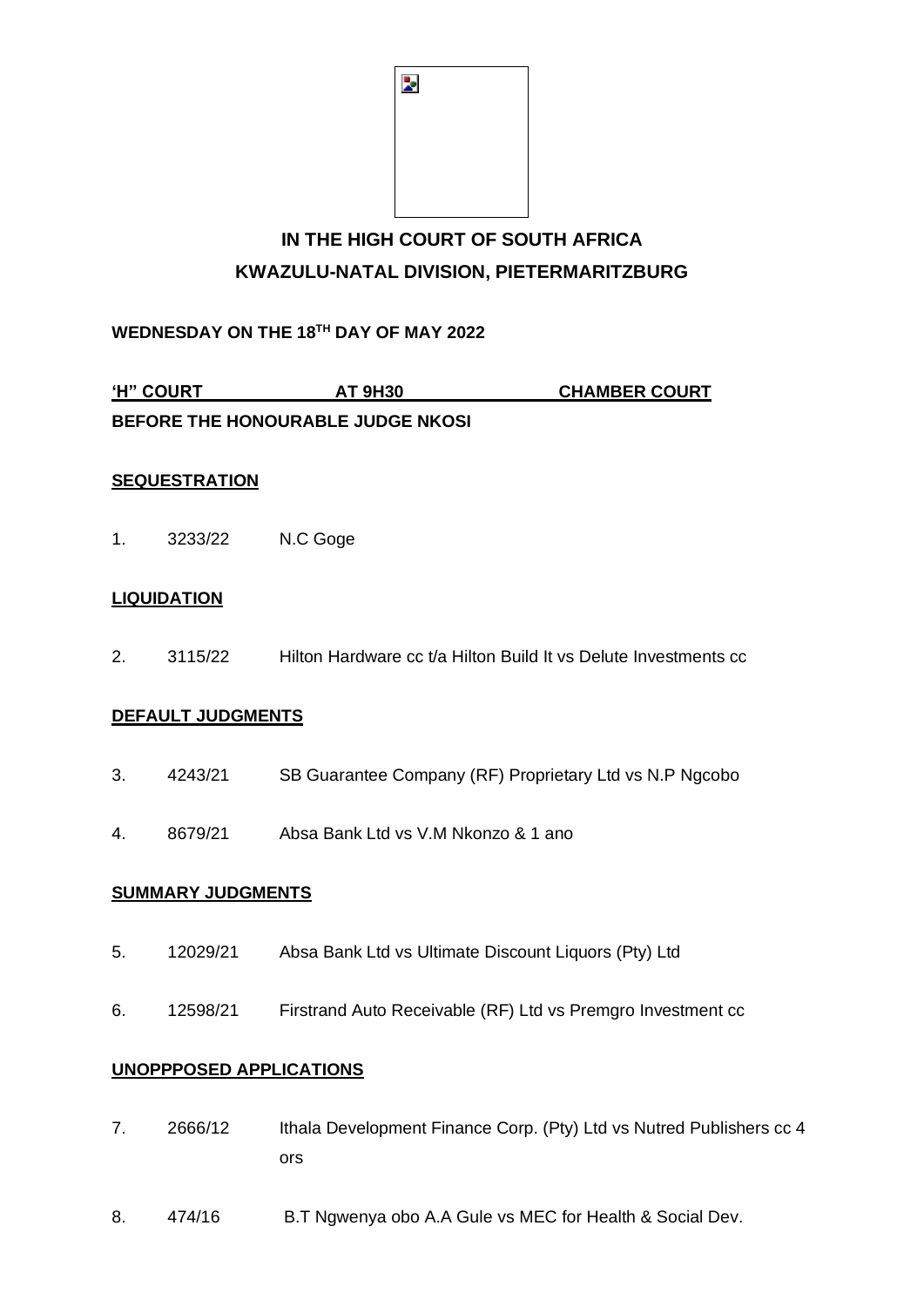| Þ |  |  |
|---|--|--|
|   |  |  |
|   |  |  |
|   |  |  |

# IN THE HIGH COURT OF SOUTH AFRICA KWAZULU-NATAL DIVISION, PIETERMARITZBURG

WEDNESDAY ON THE 18TH DAY OF MAY 2022

'H" COURT **AT 9H30 CHAMBER COURT** BEFORE THE HONOURABLE JUDGE NKOSI

## **SEQUESTRATION**

 $1<sup>1</sup>$ N.C Goge 3233/22

## **LIQUIDATION**

 $2<sup>1</sup>$ Hilton Hardware cc t/a Hilton Build It vs Delute Investments cc 3115/22

## **DEFAULT JUDGMENTS**

- $3.$ 4243/21 SB Guarantee Company (RF) Proprietary Ltd vs N.P Ngcobo
- $4.$ 8679/21 Absa Bank Ltd vs V.M Nkonzo & 1 ano

#### **SUMMARY JUDGMENTS**

- 5. Absa Bank Ltd vs Ultimate Discount Liquors (Pty) Ltd 12029/21
- 6. Firstrand Auto Receivable (RF) Ltd vs Premgro Investment cc 12598/21

### **UNOPPPOSED APPLICATIONS**

- $7.$ Ithala Development Finance Corp. (Pty) Ltd vs Nutred Publishers cc 4 2666/12 ors
- $8<sub>1</sub>$ 474/16 B.T Ngwenya obo A.A Gule vs MEC for Health & Social Dev.